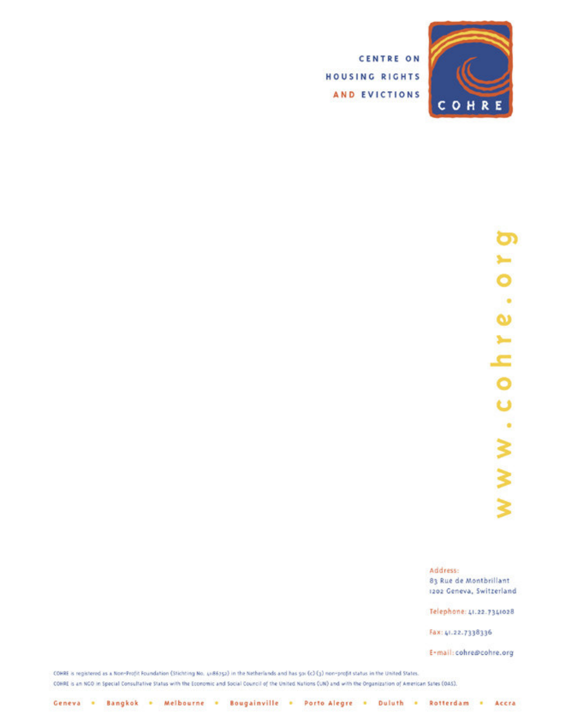

**CENTRE ON** HOUSING RIGHTS AND EVICTIONS

# ටා ⊢  $\bullet$  $\bullet$  $\pmb{\omega}$  $0 h r$  $\ddot{\phantom{0}}$  $\alpha$ W W W

Address: 83 Rue de Montbrillant 1202 Geneva, Switzerland

Telephone: 41.22.7341028

Fax: 41.22.7338336

E-mail: cohre@cohre.org

COHRE is registered as a Non-Profit Foundation (Stichting No. 4x86752) in the Netherlands and has 50x (c) (3) non-profit status in the United States. COHRE is an NCO in Special Consultative Status with the Economic and Social Council of the United Nations (UN) and with the Organization of American Sates (OAS).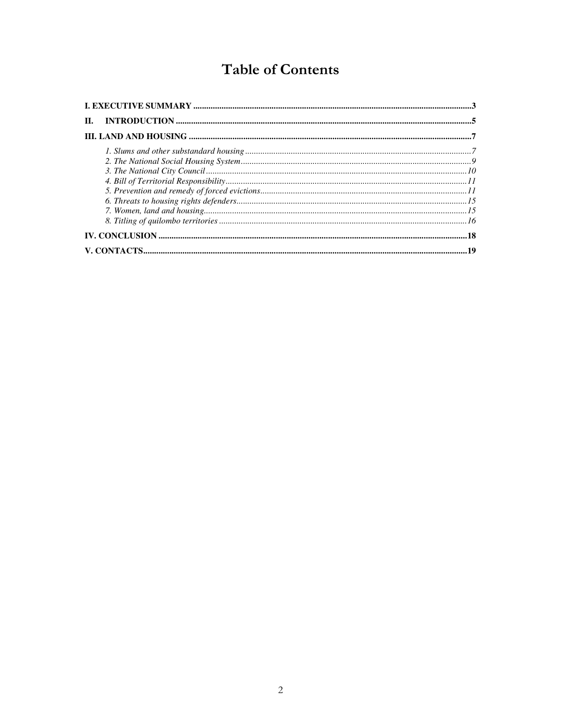# **Table of Contents**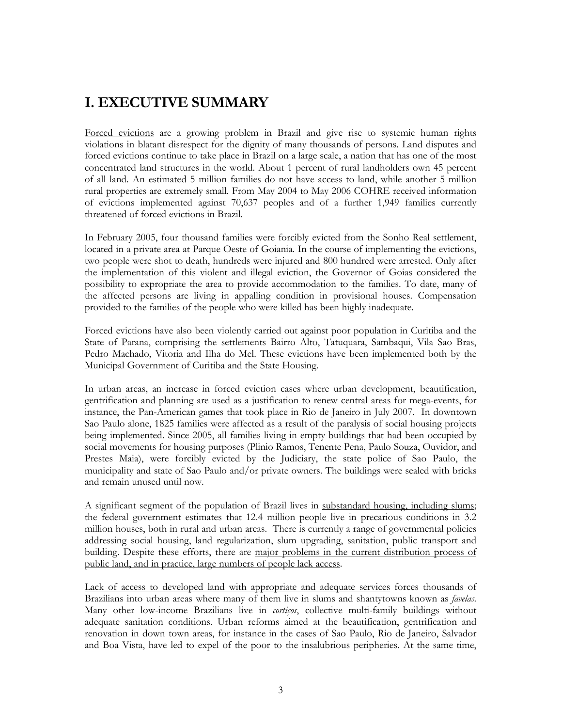## I. EXECUTIVE SUMMARY

Forced evictions are a growing problem in Brazil and give rise to systemic human rights violations in blatant disrespect for the dignity of many thousands of persons. Land disputes and forced evictions continue to take place in Brazil on a large scale, a nation that has one of the most concentrated land structures in the world. About 1 percent of rural landholders own 45 percent of all land. An estimated 5 million families do not have access to land, while another 5 million rural properties are extremely small. From May 2004 to May 2006 COHRE received information of evictions implemented against 70,637 peoples and of a further 1,949 families currently threatened of forced evictions in Brazil.

In February 2005, four thousand families were forcibly evicted from the Sonho Real settlement, located in a private area at Parque Oeste of Goiania. In the course of implementing the evictions, two people were shot to death, hundreds were injured and 800 hundred were arrested. Only after the implementation of this violent and illegal eviction, the Governor of Goias considered the possibility to expropriate the area to provide accommodation to the families. To date, many of the affected persons are living in appalling condition in provisional houses. Compensation provided to the families of the people who were killed has been highly inadequate.

Forced evictions have also been violently carried out against poor population in Curitiba and the State of Parana, comprising the settlements Bairro Alto, Tatuquara, Sambaqui, Vila Sao Bras, Pedro Machado, Vitoria and Ilha do Mel. These evictions have been implemented both by the Municipal Government of Curitiba and the State Housing.

In urban areas, an increase in forced eviction cases where urban development, beautification, gentrification and planning are used as a justification to renew central areas for mega-events, for instance, the Pan-American games that took place in Rio de Janeiro in July 2007. In downtown Sao Paulo alone, 1825 families were affected as a result of the paralysis of social housing projects being implemented. Since 2005, all families living in empty buildings that had been occupied by social movements for housing purposes (Plinio Ramos, Tenente Pena, Paulo Souza, Ouvidor, and Prestes Maia), were forcibly evicted by the Judiciary, the state police of Sao Paulo, the municipality and state of Sao Paulo and/or private owners. The buildings were sealed with bricks and remain unused until now.

A significant segment of the population of Brazil lives in substandard housing, including slums; the federal government estimates that 12.4 million people live in precarious conditions in 3.2 million houses, both in rural and urban areas. There is currently a range of governmental policies addressing social housing, land regularization, slum upgrading, sanitation, public transport and building. Despite these efforts, there are major problems in the current distribution process of public land, and in practice, large numbers of people lack access.

Lack of access to developed land with appropriate and adequate services forces thousands of Brazilians into urban areas where many of them live in slums and shantytowns known as *favelas*. Many other low-income Brazilians live in *cortiços*, collective multi-family buildings without adequate sanitation conditions. Urban reforms aimed at the beautification, gentrification and renovation in down town areas, for instance in the cases of Sao Paulo, Rio de Janeiro, Salvador and Boa Vista, have led to expel of the poor to the insalubrious peripheries. At the same time,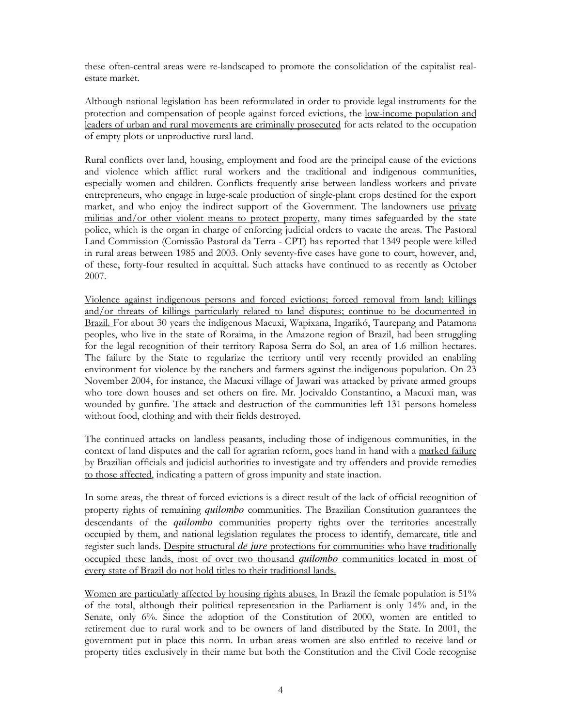these often-central areas were re-landscaped to promote the consolidation of the capitalist realestate market.

Although national legislation has been reformulated in order to provide legal instruments for the protection and compensation of people against forced evictions, the low-income population and leaders of urban and rural movements are criminally prosecuted for acts related to the occupation of empty plots or unproductive rural land.

Rural conflicts over land, housing, employment and food are the principal cause of the evictions and violence which afflict rural workers and the traditional and indigenous communities, especially women and children. Conflicts frequently arise between landless workers and private entrepreneurs, who engage in large-scale production of single-plant crops destined for the export market, and who enjoy the indirect support of the Government. The landowners use private militias and/or other violent means to protect property, many times safeguarded by the state police, which is the organ in charge of enforcing judicial orders to vacate the areas. The Pastoral Land Commission (Comissão Pastoral da Terra - CPT) has reported that 1349 people were killed in rural areas between 1985 and 2003. Only seventy-five cases have gone to court, however, and, of these, forty-four resulted in acquittal. Such attacks have continued to as recently as October 2007.

Violence against indigenous persons and forced evictions; forced removal from land; killings and/or threats of killings particularly related to land disputes; continue to be documented in Brazil. For about 30 years the indigenous Macuxi, Wapixana, Ingarikó, Taurepang and Patamona peoples, who live in the state of Roraima, in the Amazone region of Brazil, had been struggling for the legal recognition of their territory Raposa Serra do Sol, an area of 1.6 million hectares. The failure by the State to regularize the territory until very recently provided an enabling environment for violence by the ranchers and farmers against the indigenous population. On 23 November 2004, for instance, the Macuxi village of Jawari was attacked by private armed groups who tore down houses and set others on fire. Mr. Jocivaldo Constantino, a Macuxi man, was wounded by gunfire. The attack and destruction of the communities left 131 persons homeless without food, clothing and with their fields destroyed.

The continued attacks on landless peasants, including those of indigenous communities, in the context of land disputes and the call for agrarian reform, goes hand in hand with a marked failure by Brazilian officials and judicial authorities to investigate and try offenders and provide remedies to those affected, indicating a pattern of gross impunity and state inaction.

In some areas, the threat of forced evictions is a direct result of the lack of official recognition of property rights of remaining *quilombo* communities. The Brazilian Constitution guarantees the descendants of the *quilombo* communities property rights over the territories ancestrally occupied by them, and national legislation regulates the process to identify, demarcate, title and register such lands. Despite structural *de jure* protections for communities who have traditionally occupied these lands, most of over two thousand *quilombo* communities located in most of every state of Brazil do not hold titles to their traditional lands.

Women are particularly affected by housing rights abuses. In Brazil the female population is 51% of the total, although their political representation in the Parliament is only 14% and, in the Senate, only 6%. Since the adoption of the Constitution of 2000, women are entitled to retirement due to rural work and to be owners of land distributed by the State. In 2001, the government put in place this norm. In urban areas women are also entitled to receive land or property titles exclusively in their name but both the Constitution and the Civil Code recognise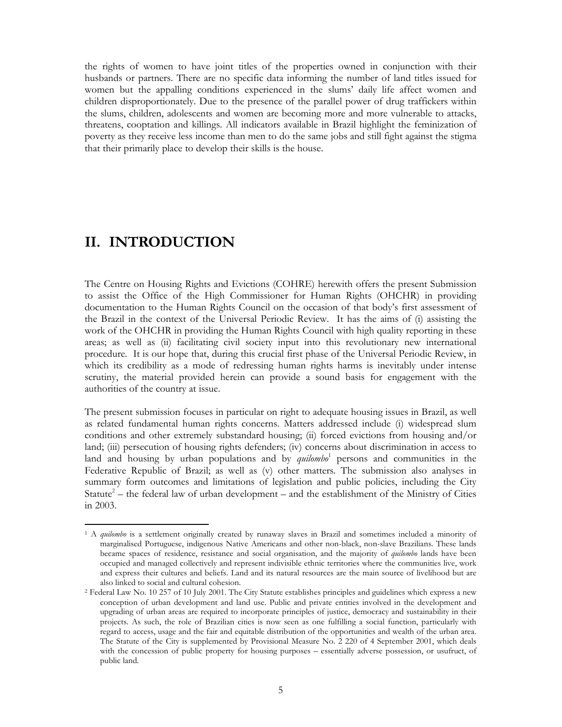the rights of women to have joint titles of the properties owned in conjunction with their husbands or partners. There are no specific data informing the number of land titles issued for women but the appalling conditions experienced in the slums' daily life affect women and children disproportionately. Due to the presence of the parallel power of drug traffickers within the slums, children, adolescents and women are becoming more and more vulnerable to attacks, threatens, cooptation and killings. All indicators available in Brazil highlight the feminization of poverty as they receive less income than men to do the same jobs and still fight against the stigma that their primarily place to develop their skills is the house.

### II. INTRODUCTION

The Centre on Housing Rights and Evictions (COHRE) herewith offers the present Submission to assist the Office of the High Commissioner for Human Rights (OHCHR) in providing documentation to the Human Rights Council on the occasion of that body's first assessment of the Brazil in the context of the Universal Periodic Review. It has the aims of (i) assisting the work of the OHCHR in providing the Human Rights Council with high quality reporting in these areas; as well as (ii) facilitating civil society input into this revolutionary new international procedure. It is our hope that, during this crucial first phase of the Universal Periodic Review, in which its credibility as a mode of redressing human rights harms is inevitably under intense scrutiny, the material provided herein can provide a sound basis for engagement with the authorities of the country at issue.

The present submission focuses in particular on right to adequate housing issues in Brazil, as well as related fundamental human rights concerns. Matters addressed include (i) widespread slum conditions and other extremely substandard housing; (ii) forced evictions from housing and/or land; (iii) persecution of housing rights defenders; (iv) concerns about discrimination in access to land and housing by urban populations and by *quilombo*<sup>1</sup> persons and communities in the Federative Republic of Brazil; as well as (v) other matters. The submission also analyses in summary form outcomes and limitations of legislation and public policies, including the City Statute<sup>2</sup> – the federal law of urban development – and the establishment of the Ministry of Cities in 2003.

 $\overline{a}$ <sup>1</sup> A quilombo is a settlement originally created by runaway slaves in Brazil and sometimes included a minority of marginalised Portuguese, indigenous Native Americans and other non-black, non-slave Brazilians. These lands became spaces of residence, resistance and social organisation, and the majority of *quilombo* lands have been occupied and managed collectively and represent indivisible ethnic territories where the communities live, work and express their cultures and beliefs. Land and its natural resources are the main source of livelihood but are also linked to social and cultural cohesion.

<sup>2</sup> Federal Law No. 10 257 of 10 July 2001. The City Statute establishes principles and guidelines which express a new conception of urban development and land use. Public and private entities involved in the development and upgrading of urban areas are required to incorporate principles of justice, democracy and sustainability in their projects. As such, the role of Brazilian cities is now seen as one fulfilling a social function, particularly with regard to access, usage and the fair and equitable distribution of the opportunities and wealth of the urban area. The Statute of the City is supplemented by Provisional Measure No. 2 220 of 4 September 2001, which deals with the concession of public property for housing purposes – essentially adverse possession, or usufruct, of public land.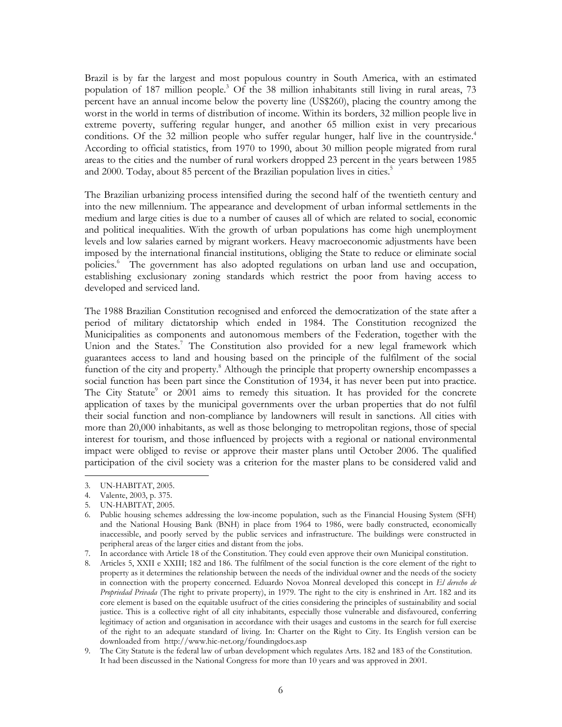Brazil is by far the largest and most populous country in South America, with an estimated population of 187 million people.<sup>3</sup> Of the 38 million inhabitants still living in rural areas, 73 percent have an annual income below the poverty line (US\$260), placing the country among the worst in the world in terms of distribution of income. Within its borders, 32 million people live in extreme poverty, suffering regular hunger, and another 65 million exist in very precarious conditions. Of the 32 million people who suffer regular hunger, half live in the countryside.<sup>4</sup> According to official statistics, from 1970 to 1990, about 30 million people migrated from rural areas to the cities and the number of rural workers dropped 23 percent in the years between 1985 and 2000. Today, about 85 percent of the Brazilian population lives in cities.<sup>5</sup>

The Brazilian urbanizing process intensified during the second half of the twentieth century and into the new millennium. The appearance and development of urban informal settlements in the medium and large cities is due to a number of causes all of which are related to social, economic and political inequalities. With the growth of urban populations has come high unemployment levels and low salaries earned by migrant workers. Heavy macroeconomic adjustments have been imposed by the international financial institutions, obliging the State to reduce or eliminate social policies.<sup>6</sup> The government has also adopted regulations on urban land use and occupation, establishing exclusionary zoning standards which restrict the poor from having access to developed and serviced land.

The 1988 Brazilian Constitution recognised and enforced the democratization of the state after a period of military dictatorship which ended in 1984. The Constitution recognized the Municipalities as components and autonomous members of the Federation, together with the Union and the States.<sup>7</sup> The Constitution also provided for a new legal framework which guarantees access to land and housing based on the principle of the fulfilment of the social function of the city and property.<sup>8</sup> Although the principle that property ownership encompasses a social function has been part since the Constitution of 1934, it has never been put into practice. The City Statute<sup>9</sup> or 2001 aims to remedy this situation. It has provided for the concrete application of taxes by the municipal governments over the urban properties that do not fulfil their social function and non-compliance by landowners will result in sanctions. All cities with more than 20,000 inhabitants, as well as those belonging to metropolitan regions, those of special interest for tourism, and those influenced by projects with a regional or national environmental impact were obliged to revise or approve their master plans until October 2006. The qualified participation of the civil society was a criterion for the master plans to be considered valid and

7. In accordance with Article 18 of the Constitution. They could even approve their own Municipal constitution.

8. Articles 5, XXII e XXIII; 182 and 186. The fulfilment of the social function is the core element of the right to property as it determines the relationship between the needs of the individual owner and the needs of the society in connection with the property concerned. Eduardo Novoa Monreal developed this concept in El derecho de Propriedad Privada (The right to private property), in 1979. The right to the city is enshrined in Art. 182 and its core element is based on the equitable usufruct of the cities considering the principles of sustainability and social justice. This is a collective right of all city inhabitants, especially those vulnerable and disfavoured, conferring legitimacy of action and organisation in accordance with their usages and customs in the search for full exercise of the right to an adequate standard of living. In: Charter on the Right to City. Its English version can be downloaded from http://www.hic-net.org/foundingdocs.asp

 $\overline{a}$ 3. UN-HABITAT, 2005.

<sup>4.</sup> Valente, 2003, p. 375.

<sup>5.</sup> UN-HABITAT, 2005.

<sup>6.</sup> Public housing schemes addressing the low-income population, such as the Financial Housing System (SFH) and the National Housing Bank (BNH) in place from 1964 to 1986, were badly constructed, economically inaccessible, and poorly served by the public services and infrastructure. The buildings were constructed in peripheral areas of the larger cities and distant from the jobs.

<sup>9.</sup> The City Statute is the federal law of urban development which regulates Arts. 182 and 183 of the Constitution. It had been discussed in the National Congress for more than 10 years and was approved in 2001.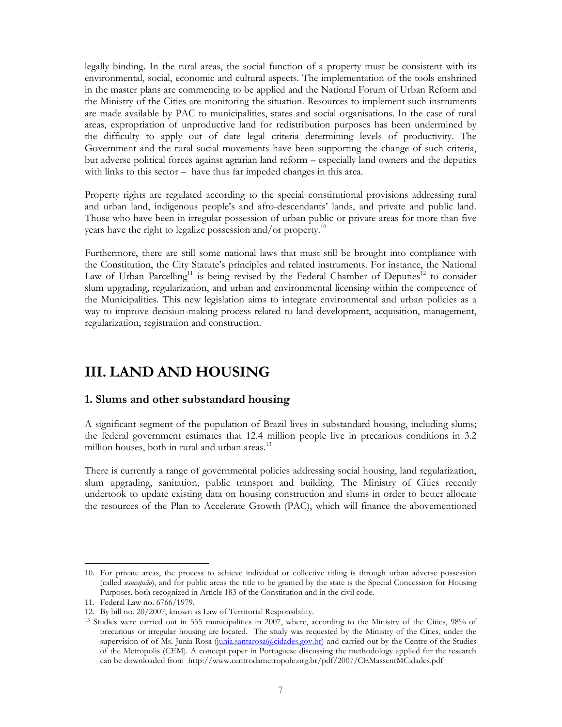legally binding. In the rural areas, the social function of a property must be consistent with its environmental, social, economic and cultural aspects. The implementation of the tools enshrined in the master plans are commencing to be applied and the National Forum of Urban Reform and the Ministry of the Cities are monitoring the situation. Resources to implement such instruments are made available by PAC to municipalities, states and social organisations. In the case of rural areas, expropriation of unproductive land for redistribution purposes has been undermined by the difficulty to apply out of date legal criteria determining levels of productivity. The Government and the rural social movements have been supporting the change of such criteria, but adverse political forces against agrarian land reform – especially land owners and the deputies with links to this sector – have thus far impeded changes in this area.

Property rights are regulated according to the special constitutional provisions addressing rural and urban land, indigenous people's and afro-descendants' lands, and private and public land. Those who have been in irregular possession of urban public or private areas for more than five years have the right to legalize possession and/or property.<sup>10</sup>

Furthermore, there are still some national laws that must still be brought into compliance with the Constitution, the City Statute's principles and related instruments. For instance, the National Law of Urban Parcelling<sup>11</sup> is being revised by the Federal Chamber of Deputies<sup>12</sup> to consider slum upgrading, regularization, and urban and environmental licensing within the competence of the Municipalities. This new legislation aims to integrate environmental and urban policies as a way to improve decision-making process related to land development, acquisition, management, regularization, registration and construction.

## III. LAND AND HOUSING

#### 1. Slums and other substandard housing

A significant segment of the population of Brazil lives in substandard housing, including slums; the federal government estimates that 12.4 million people live in precarious conditions in 3.2 million houses, both in rural and urban areas.<sup>13</sup>

There is currently a range of governmental policies addressing social housing, land regularization, slum upgrading, sanitation, public transport and building. The Ministry of Cities recently undertook to update existing data on housing construction and slums in order to better allocate the resources of the Plan to Accelerate Growth (PAC), which will finance the abovementioned

 $\overline{a}$ 10. For private areas, the process to achieve individual or collective titling is through urban adverse possession (called usucapião), and for public areas the title to be granted by the state is the Special Concession for Housing Purposes, both recognized in Article 183 of the Constitution and in the civil code.

<sup>11.</sup> Federal Law no. 6766/1979.

<sup>12.</sup> By bill no. 20/2007, known as Law of Territorial Responsibility.

<sup>&</sup>lt;sup>13</sup> Studies were carried out in 555 municipalities in 2007, where, according to the Ministry of the Cities, 98% of precarious or irregular housing are located. The study was requested by the Ministry of the Cities, under the supervision of of Ms. Junia Rosa (junia.santarosa@cidades.gov.br) and carried out by the Centre of the Studies of the Metropolis (CEM). A concept paper in Portuguese discussing the methodology applied for the research can be downloaded from http://www.centrodametropole.org.br/pdf/2007/CEMassentMCidades.pdf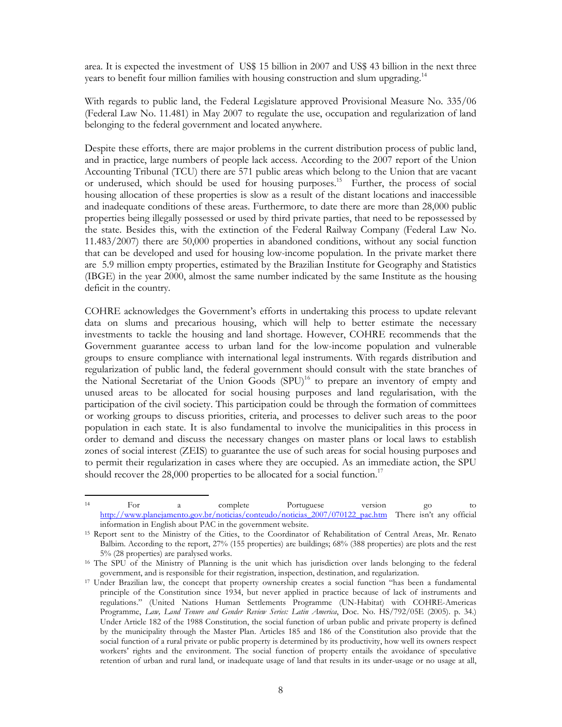area. It is expected the investment of US\$ 15 billion in 2007 and US\$ 43 billion in the next three years to benefit four million families with housing construction and slum upgrading.<sup>14</sup>

With regards to public land, the Federal Legislature approved Provisional Measure No. 335/06 (Federal Law No. 11.481) in May 2007 to regulate the use, occupation and regularization of land belonging to the federal government and located anywhere.

Despite these efforts, there are major problems in the current distribution process of public land, and in practice, large numbers of people lack access. According to the 2007 report of the Union Accounting Tribunal (TCU) there are 571 public areas which belong to the Union that are vacant or underused, which should be used for housing purposes.<sup>15</sup> Further, the process of social housing allocation of these properties is slow as a result of the distant locations and inaccessible and inadequate conditions of these areas. Furthermore, to date there are more than 28,000 public properties being illegally possessed or used by third private parties, that need to be repossessed by the state. Besides this, with the extinction of the Federal Railway Company (Federal Law No. 11.483/2007) there are 50,000 properties in abandoned conditions, without any social function that can be developed and used for housing low-income population. In the private market there are 5.9 million empty properties, estimated by the Brazilian Institute for Geography and Statistics (IBGE) in the year 2000, almost the same number indicated by the same Institute as the housing deficit in the country.

COHRE acknowledges the Government's efforts in undertaking this process to update relevant data on slums and precarious housing, which will help to better estimate the necessary investments to tackle the housing and land shortage. However, COHRE recommends that the Government guarantee access to urban land for the low-income population and vulnerable groups to ensure compliance with international legal instruments. With regards distribution and regularization of public land, the federal government should consult with the state branches of the National Secretariat of the Union Goods  $(SPU)^{16}$  to prepare an inventory of empty and unused areas to be allocated for social housing purposes and land regularisation, with the participation of the civil society. This participation could be through the formation of committees or working groups to discuss priorities, criteria, and processes to deliver such areas to the poor population in each state. It is also fundamental to involve the municipalities in this process in order to demand and discuss the necessary changes on master plans or local laws to establish zones of social interest (ZEIS) to guarantee the use of such areas for social housing purposes and to permit their regularization in cases where they are occupied. As an immediate action, the SPU should recover the  $28,000$  properties to be allocated for a social function.<sup>17</sup>

 $14$ <sup>14</sup> For a complete Portuguese version go to http://www.planejamento.gov.br/noticias/conteudo/noticias\_2007/070122\_pac.htm There isn't any official information in English about PAC in the government website.

<sup>15</sup> Report sent to the Ministry of the Cities, to the Coordinator of Rehabilitation of Central Areas, Mr. Renato Balbim. According to the report, 27% (155 properties) are buildings; 68% (388 properties) are plots and the rest 5% (28 properties) are paralysed works.

<sup>16</sup> The SPU of the Ministry of Planning is the unit which has jurisdiction over lands belonging to the federal government, and is responsible for their registration, inspection, destination, and regularization.

<sup>17</sup> Under Brazilian law, the concept that property ownership creates a social function "has been a fundamental principle of the Constitution since 1934, but never applied in practice because of lack of instruments and regulations." (United Nations Human Settlements Programme (UN-Habitat) with COHRE-Americas Programme, Law, Land Tenure and Gender Review Series: Latin America, Doc. No. HS/792/05E (2005). p. 34.) Under Article 182 of the 1988 Constitution, the social function of urban public and private property is defined by the municipality through the Master Plan. Articles 185 and 186 of the Constitution also provide that the social function of a rural private or public property is determined by its productivity, how well its owners respect workers' rights and the environment. The social function of property entails the avoidance of speculative retention of urban and rural land, or inadequate usage of land that results in its under-usage or no usage at all,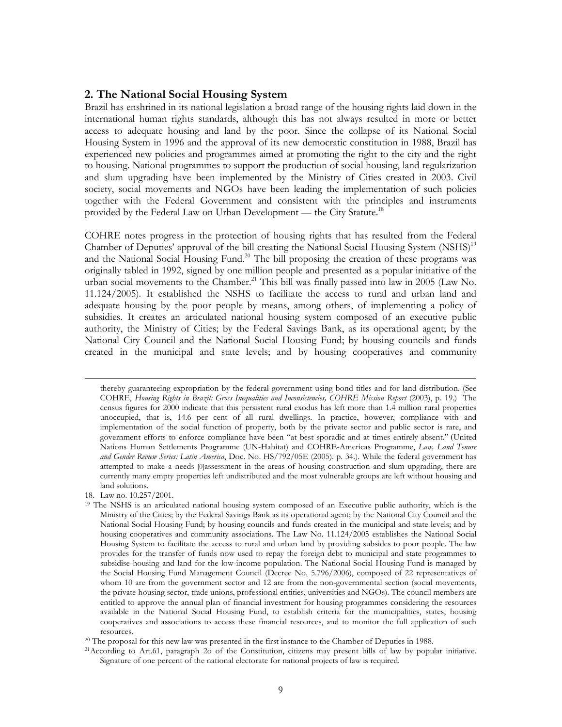#### 2. The National Social Housing System

Brazil has enshrined in its national legislation a broad range of the housing rights laid down in the international human rights standards, although this has not always resulted in more or better access to adequate housing and land by the poor. Since the collapse of its National Social Housing System in 1996 and the approval of its new democratic constitution in 1988, Brazil has experienced new policies and programmes aimed at promoting the right to the city and the right to housing. National programmes to support the production of social housing, land regularization and slum upgrading have been implemented by the Ministry of Cities created in 2003. Civil society, social movements and NGOs have been leading the implementation of such policies together with the Federal Government and consistent with the principles and instruments provided by the Federal Law on Urban Development - the City Statute.<sup>18</sup>

COHRE notes progress in the protection of housing rights that has resulted from the Federal Chamber of Deputies' approval of the bill creating the National Social Housing System (NSHS)<sup>19</sup> and the National Social Housing Fund.<sup>20</sup> The bill proposing the creation of these programs was originally tabled in 1992, signed by one million people and presented as a popular initiative of the urban social movements to the Chamber.<sup>21</sup> This bill was finally passed into law in 2005 (Law No. 11.124/2005). It established the NSHS to facilitate the access to rural and urban land and adequate housing by the poor people by means, among others, of implementing a policy of subsidies. It creates an articulated national housing system composed of an executive public authority, the Ministry of Cities; by the Federal Savings Bank, as its operational agent; by the National City Council and the National Social Housing Fund; by housing councils and funds created in the municipal and state levels; and by housing cooperatives and community

18. Law no. 10.257/2001.

thereby guaranteeing expropriation by the federal government using bond titles and for land distribution. (See COHRE, Housing Rights in Brazil: Gross Inequalities and Inconsistencies, COHRE Mission Report (2003), p. 19.) The census figures for 2000 indicate that this persistent rural exodus has left more than 1.4 million rural properties unoccupied, that is, 14.6 per cent of all rural dwellings. In practice, however, compliance with and implementation of the social function of property, both by the private sector and public sector is rare, and government efforts to enforce compliance have been "at best sporadic and at times entirely absent." (United Nations Human Settlements Programme (UN-Habitat) and COHRE-Americas Programme, Law, Land Tenure and Gender Review Series: Latin America, Doc. No. HS/792/05E (2005). p. 34.). While the federal government has attempted to make a needs [0]assessment in the areas of housing construction and slum upgrading, there are currently many empty properties left undistributed and the most vulnerable groups are left without housing and land solutions.

<sup>&</sup>lt;sup>19</sup> The NSHS is an articulated national housing system composed of an Executive public authority, which is the Ministry of the Cities; by the Federal Savings Bank as its operational agent; by the National City Council and the National Social Housing Fund; by housing councils and funds created in the municipal and state levels; and by housing cooperatives and community associations. The Law No. 11.124/2005 establishes the National Social Housing System to facilitate the access to rural and urban land by providing subsides to poor people. The law provides for the transfer of funds now used to repay the foreign debt to municipal and state programmes to subsidise housing and land for the low-income population. The National Social Housing Fund is managed by the Social Housing Fund Management Council (Decree No. 5.796/2006), composed of 22 representatives of whom 10 are from the government sector and 12 are from the non-governmental section (social movements, the private housing sector, trade unions, professional entities, universities and NGOs). The council members are entitled to approve the annual plan of financial investment for housing programmes considering the resources available in the National Social Housing Fund, to establish criteria for the municipalities, states, housing cooperatives and associations to access these financial resources, and to monitor the full application of such resources.

<sup>&</sup>lt;sup>20</sup> The proposal for this new law was presented in the first instance to the Chamber of Deputies in 1988.

<sup>21</sup>According to Art.61, paragraph 2o of the Constitution, citizens may present bills of law by popular initiative. Signature of one percent of the national electorate for national projects of law is required.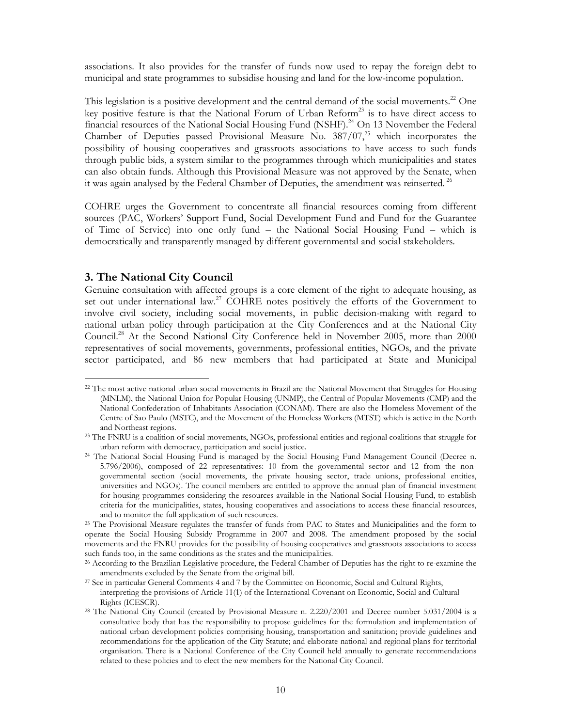associations. It also provides for the transfer of funds now used to repay the foreign debt to municipal and state programmes to subsidise housing and land for the low-income population.

This legislation is a positive development and the central demand of the social movements.<sup>22</sup> One key positive feature is that the National Forum of Urban Reform<sup>23</sup> is to have direct access to financial resources of the National Social Housing Fund (NSHF).<sup>24</sup> On 13 November the Federal Chamber of Deputies passed Provisional Measure No.  $387/07$ ,<sup>25</sup> which incorporates the possibility of housing cooperatives and grassroots associations to have access to such funds through public bids, a system similar to the programmes through which municipalities and states can also obtain funds. Although this Provisional Measure was not approved by the Senate, when it was again analysed by the Federal Chamber of Deputies, the amendment was reinserted.<sup>26</sup>

COHRE urges the Government to concentrate all financial resources coming from different sources (PAC, Workers' Support Fund, Social Development Fund and Fund for the Guarantee of Time of Service) into one only fund – the National Social Housing Fund – which is democratically and transparently managed by different governmental and social stakeholders.

#### 3. The National City Council

 $\overline{a}$ 

Genuine consultation with affected groups is a core element of the right to adequate housing, as set out under international law.<sup>27</sup> COHRE notes positively the efforts of the Government to involve civil society, including social movements, in public decision-making with regard to national urban policy through participation at the City Conferences and at the National City Council.<sup>28</sup> At the Second National City Conference held in November 2005, more than 2000 representatives of social movements, governments, professional entities, NGOs, and the private sector participated, and 86 new members that had participated at State and Municipal

<sup>26</sup> According to the Brazilian Legislative procedure, the Federal Chamber of Deputies has the right to re-examine the amendments excluded by the Senate from the original bill.

<sup>&</sup>lt;sup>22</sup> The most active national urban social movements in Brazil are the National Movement that Struggles for Housing (MNLM), the National Union for Popular Housing (UNMP), the Central of Popular Movements (CMP) and the National Confederation of Inhabitants Association (CONAM). There are also the Homeless Movement of the Centre of Sao Paulo (MSTC), and the Movement of the Homeless Workers (MTST) which is active in the North and Northeast regions.

<sup>23</sup> The FNRU is a coalition of social movements, NGOs, professional entities and regional coalitions that struggle for urban reform with democracy, participation and social justice.

<sup>24</sup> The National Social Housing Fund is managed by the Social Housing Fund Management Council (Decree n. 5.796/2006), composed of 22 representatives: 10 from the governmental sector and 12 from the nongovernmental section (social movements, the private housing sector, trade unions, professional entities, universities and NGOs). The council members are entitled to approve the annual plan of financial investment for housing programmes considering the resources available in the National Social Housing Fund, to establish criteria for the municipalities, states, housing cooperatives and associations to access these financial resources, and to monitor the full application of such resources.

<sup>&</sup>lt;sup>25</sup> The Provisional Measure regulates the transfer of funds from PAC to States and Municipalities and the form to operate the Social Housing Subsidy Programme in 2007 and 2008. The amendment proposed by the social movements and the FNRU provides for the possibility of housing cooperatives and grassroots associations to access such funds too, in the same conditions as the states and the municipalities.

<sup>27</sup> See in particular General Comments 4 and 7 by the Committee on Economic, Social and Cultural Rights, interpreting the provisions of Article 11(1) of the International Covenant on Economic, Social and Cultural Rights (ICESCR).

<sup>&</sup>lt;sup>28</sup> The National City Council (created by Provisional Measure n. 2.220/2001 and Decree number 5.031/2004 is a consultative body that has the responsibility to propose guidelines for the formulation and implementation of national urban development policies comprising housing, transportation and sanitation; provide guidelines and recommendations for the application of the City Statute; and elaborate national and regional plans for territorial organisation. There is a National Conference of the City Council held annually to generate recommendations related to these policies and to elect the new members for the National City Council.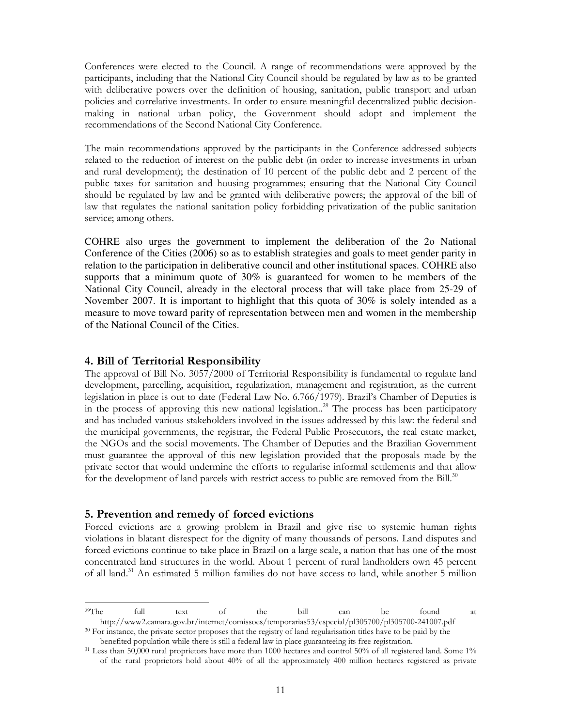Conferences were elected to the Council. A range of recommendations were approved by the participants, including that the National City Council should be regulated by law as to be granted with deliberative powers over the definition of housing, sanitation, public transport and urban policies and correlative investments. In order to ensure meaningful decentralized public decisionmaking in national urban policy, the Government should adopt and implement the recommendations of the Second National City Conference.

The main recommendations approved by the participants in the Conference addressed subjects related to the reduction of interest on the public debt (in order to increase investments in urban and rural development); the destination of 10 percent of the public debt and 2 percent of the public taxes for sanitation and housing programmes; ensuring that the National City Council should be regulated by law and be granted with deliberative powers; the approval of the bill of law that regulates the national sanitation policy forbidding privatization of the public sanitation service; among others.

COHRE also urges the government to implement the deliberation of the 2o National Conference of the Cities (2006) so as to establish strategies and goals to meet gender parity in relation to the participation in deliberative council and other institutional spaces. COHRE also supports that a minimum quote of 30% is guaranteed for women to be members of the National City Council, already in the electoral process that will take place from 25-29 of November 2007. It is important to highlight that this quota of 30% is solely intended as a measure to move toward parity of representation between men and women in the membership of the National Council of the Cities.

#### 4. Bill of Territorial Responsibility

The approval of Bill No. 3057/2000 of Territorial Responsibility is fundamental to regulate land development, parcelling, acquisition, regularization, management and registration, as the current legislation in place is out to date (Federal Law No. 6.766/1979). Brazil's Chamber of Deputies is in the process of approving this new national legislation..<sup>29</sup> The process has been participatory and has included various stakeholders involved in the issues addressed by this law: the federal and the municipal governments, the registrar, the Federal Public Prosecutors, the real estate market, the NGOs and the social movements. The Chamber of Deputies and the Brazilian Government must guarantee the approval of this new legislation provided that the proposals made by the private sector that would undermine the efforts to regularise informal settlements and that allow for the development of land parcels with restrict access to public are removed from the Bill.<sup>30</sup>

#### 5. Prevention and remedy of forced evictions

 $\overline{a}$ 

Forced evictions are a growing problem in Brazil and give rise to systemic human rights violations in blatant disrespect for the dignity of many thousands of persons. Land disputes and forced evictions continue to take place in Brazil on a large scale, a nation that has one of the most concentrated land structures in the world. About 1 percent of rural landholders own 45 percent of all land.<sup>31</sup> An estimated 5 million families do not have access to land, while another 5 million

 $2^9$ The full text of the bill can be found at http://www2.camara.gov.br/internet/comissoes/temporarias53/especial/pl305700/pl305700-241007.pdf <sup>30</sup> For instance, the private sector proposes that the registry of land regularisation titles have to be paid by the

benefited population while there is still a federal law in place guaranteeing its free registration.

<sup>&</sup>lt;sup>31</sup> Less than 50,000 rural proprietors have more than 1000 hectares and control 50% of all registered land. Some 1% of the rural proprietors hold about 40% of all the approximately 400 million hectares registered as private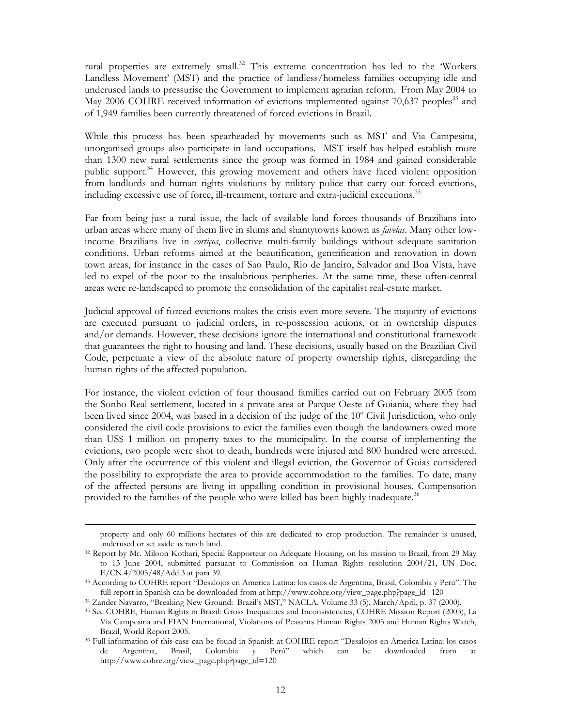rural properties are extremely small.<sup>32</sup> This extreme concentration has led to the 'Workers' Landless Movement' (MST) and the practice of landless/homeless families occupying idle and underused lands to pressurise the Government to implement agrarian reform. From May 2004 to May 2006 COHRE received information of evictions implemented against 70,637 peoples<sup>33</sup> and of 1,949 families been currently threatened of forced evictions in Brazil.

While this process has been spearheaded by movements such as MST and Via Campesina, unorganised groups also participate in land occupations. MST itself has helped establish more than 1300 new rural settlements since the group was formed in 1984 and gained considerable public support.<sup>34</sup> However, this growing movement and others have faced violent opposition from landlords and human rights violations by military police that carry out forced evictions, including excessive use of force, ill-treatment, torture and extra-judicial executions.<sup>35</sup>

Far from being just a rural issue, the lack of available land forces thousands of Brazilians into urban areas where many of them live in slums and shantytowns known as *favelas*. Many other lowincome Brazilians live in cortiços, collective multi-family buildings without adequate sanitation conditions. Urban reforms aimed at the beautification, gentrification and renovation in down town areas, for instance in the cases of Sao Paulo, Rio de Janeiro, Salvador and Boa Vista, have led to expel of the poor to the insalubrious peripheries. At the same time, these often-central areas were re-landscaped to promote the consolidation of the capitalist real-estate market.

Judicial approval of forced evictions makes the crisis even more severe. The majority of evictions are executed pursuant to judicial orders, in re-possession actions, or in ownership disputes and/or demands. However, these decisions ignore the international and constitutional framework that guarantees the right to housing and land. These decisions, usually based on the Brazilian Civil Code, perpetuate a view of the absolute nature of property ownership rights, disregarding the human rights of the affected population.

For instance, the violent eviction of four thousand families carried out on February 2005 from the Sonho Real settlement, located in a private area at Parque Oeste of Goiania, where they had been lived since 2004, was based in a decision of the judge of the 10° Civil Jurisdiction, who only considered the civil code provisions to evict the families even though the landowners owed more than US\$ 1 million on property taxes to the municipality. In the course of implementing the evictions, two people were shot to death, hundreds were injured and 800 hundred were arrested. Only after the occurrence of this violent and illegal eviction, the Governor of Goias considered the possibility to expropriate the area to provide accommodation to the families. To date, many of the affected persons are living in appalling condition in provisional houses. Compensation provided to the families of the people who were killed has been highly inadequate.<sup>36</sup>

property and only 60 millions hectares of this are dedicated to crop production. The remainder is unused, underused or set aside as ranch land.

<sup>32</sup> Report by Mr. Miloon Kothari, Special Rapporteur on Adequate Housing, on his mission to Brazil, from 29 May to 13 June 2004, submitted pursuant to Commission on Human Rights resolution 2004/21, UN Doc. E/CN.4/2005/48/Add.3 at para 39.

<sup>33</sup> According to COHRE report "Desalojos en America Latina: los casos de Argentina, Brasil, Colombia y Perú". The full report in Spanish can be downloaded from at http://www.cohre.org/view\_page.php?page\_id=120

<sup>34</sup> Zander Navarro, "Breaking New Ground: Brazil's MST," NACLA, Volume 33 (5), March/April, p. 37 (2000).

<sup>35</sup> See COHRE, Human Rights in Brazil: Gross Inequalities and Inconsistencies, COHRE Mission Report (2003), La Via Campesina and FIAN International, Violations of Peasants Human Rights 2005 and Human Rights Watch, Brazil, World Report 2005.

<sup>36</sup> Full information of this case can be found in Spanish at COHRE report "Desalojos en America Latina: los casos de Argentina, Brasil, Colombia y Perú" which can be downloaded from at http://www.cohre.org/view\_page.php?page\_id=120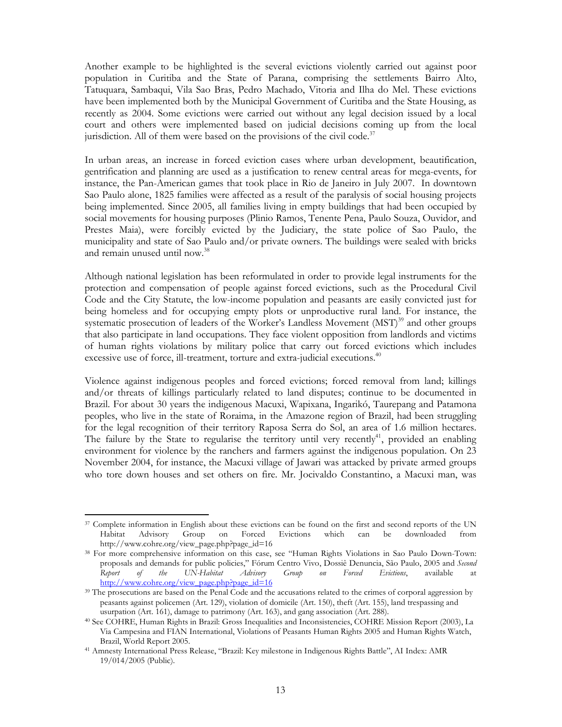Another example to be highlighted is the several evictions violently carried out against poor population in Curitiba and the State of Parana, comprising the settlements Bairro Alto, Tatuquara, Sambaqui, Vila Sao Bras, Pedro Machado, Vitoria and Ilha do Mel. These evictions have been implemented both by the Municipal Government of Curitiba and the State Housing, as recently as 2004. Some evictions were carried out without any legal decision issued by a local court and others were implemented based on judicial decisions coming up from the local jurisdiction. All of them were based on the provisions of the civil code. $37$ 

In urban areas, an increase in forced eviction cases where urban development, beautification, gentrification and planning are used as a justification to renew central areas for mega-events, for instance, the Pan-American games that took place in Rio de Janeiro in July 2007. In downtown Sao Paulo alone, 1825 families were affected as a result of the paralysis of social housing projects being implemented. Since 2005, all families living in empty buildings that had been occupied by social movements for housing purposes (Plinio Ramos, Tenente Pena, Paulo Souza, Ouvidor, and Prestes Maia), were forcibly evicted by the Judiciary, the state police of Sao Paulo, the municipality and state of Sao Paulo and/or private owners. The buildings were sealed with bricks and remain unused until now.<sup>38</sup>

Although national legislation has been reformulated in order to provide legal instruments for the protection and compensation of people against forced evictions, such as the Procedural Civil Code and the City Statute, the low-income population and peasants are easily convicted just for being homeless and for occupying empty plots or unproductive rural land. For instance, the systematic prosecution of leaders of the Worker's Landless Movement (MST)<sup>39</sup> and other groups that also participate in land occupations. They face violent opposition from landlords and victims of human rights violations by military police that carry out forced evictions which includes excessive use of force, ill-treatment, torture and extra-judicial executions.<sup>40</sup>

Violence against indigenous peoples and forced evictions; forced removal from land; killings and/or threats of killings particularly related to land disputes; continue to be documented in Brazil. For about 30 years the indigenous Macuxi, Wapixana, Ingarikó, Taurepang and Patamona peoples, who live in the state of Roraima, in the Amazone region of Brazil, had been struggling for the legal recognition of their territory Raposa Serra do Sol, an area of 1.6 million hectares. The failure by the State to regularise the territory until very recently<sup>41</sup>, provided an enabling environment for violence by the ranchers and farmers against the indigenous population. On 23 November 2004, for instance, the Macuxi village of Jawari was attacked by private armed groups who tore down houses and set others on fire. Mr. Jocivaldo Constantino, a Macuxi man, was

<sup>&</sup>lt;sup>37</sup> Complete information in English about these evictions can be found on the first and second reports of the UN Habitat Advisory Group on Forced Evictions which can be downloaded from http://www.cohre.org/view\_page.php?page\_id=16

<sup>38</sup> For more comprehensive information on this case, see "Human Rights Violations in Sao Paulo Down-Town: proposals and demands for public policies," Fórum Centro Vivo, Dossiê Denuncia, São Paulo, 2005 and Second Report of the UN-Habitat Advisory Group on Forced Evictions, available at http://www.cohre.org/view\_page.php?page\_id=16

<sup>&</sup>lt;sup>39</sup> The prosecutions are based on the Penal Code and the accusations related to the crimes of corporal aggression by peasants against policemen (Art. 129), violation of domicile (Art. 150), theft (Art. 155), land trespassing and usurpation (Art. 161), damage to patrimony (Art. 163), and gang association (Art. 288).

<sup>40</sup> See COHRE, Human Rights in Brazil: Gross Inequalities and Inconsistencies, COHRE Mission Report (2003), La Via Campesina and FIAN International, Violations of Peasants Human Rights 2005 and Human Rights Watch, Brazil, World Report 2005.

<sup>41</sup> Amnesty International Press Release, "Brazil: Key milestone in Indigenous Rights Battle", AI Index: AMR 19/014/2005 (Public).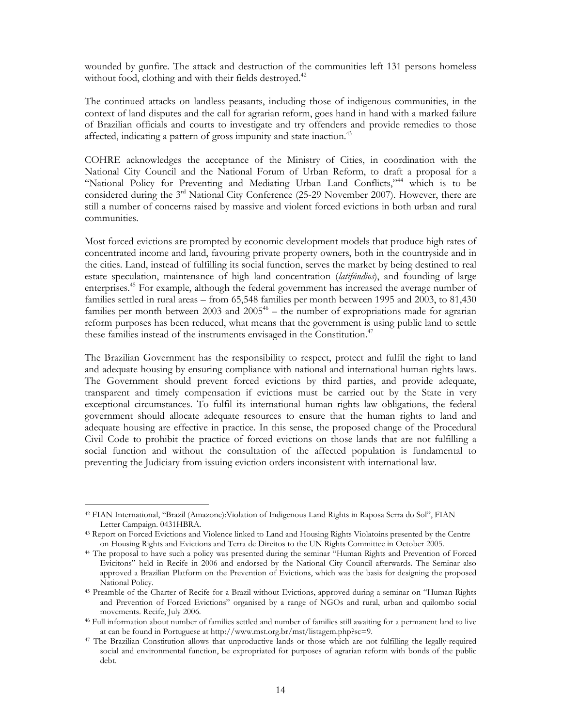wounded by gunfire. The attack and destruction of the communities left 131 persons homeless without food, clothing and with their fields destroyed.<sup>42</sup>

The continued attacks on landless peasants, including those of indigenous communities, in the context of land disputes and the call for agrarian reform, goes hand in hand with a marked failure of Brazilian officials and courts to investigate and try offenders and provide remedies to those affected, indicating a pattern of gross impunity and state inaction.<sup>43</sup>

COHRE acknowledges the acceptance of the Ministry of Cities, in coordination with the National City Council and the National Forum of Urban Reform, to draft a proposal for a "National Policy for Preventing and Mediating Urban Land Conflicts,"<sup>44</sup> which is to be considered during the  $3<sup>rd</sup>$  National City Conference (25-29 November 2007). However, there are still a number of concerns raised by massive and violent forced evictions in both urban and rural communities.

Most forced evictions are prompted by economic development models that produce high rates of concentrated income and land, favouring private property owners, both in the countryside and in the cities. Land, instead of fulfilling its social function, serves the market by being destined to real estate speculation, maintenance of high land concentration (latifundios), and founding of large enterprises.<sup>45</sup> For example, although the federal government has increased the average number of families settled in rural areas – from 65,548 families per month between 1995 and 2003, to 81,430 families per month between 2003 and  $2005<sup>46</sup>$  – the number of expropriations made for agrarian reform purposes has been reduced, what means that the government is using public land to settle these families instead of the instruments envisaged in the Constitution.<sup>47</sup>

The Brazilian Government has the responsibility to respect, protect and fulfil the right to land and adequate housing by ensuring compliance with national and international human rights laws. The Government should prevent forced evictions by third parties, and provide adequate, transparent and timely compensation if evictions must be carried out by the State in very exceptional circumstances. To fulfil its international human rights law obligations, the federal government should allocate adequate resources to ensure that the human rights to land and adequate housing are effective in practice. In this sense, the proposed change of the Procedural Civil Code to prohibit the practice of forced evictions on those lands that are not fulfilling a social function and without the consultation of the affected population is fundamental to preventing the Judiciary from issuing eviction orders inconsistent with international law.

<sup>42</sup> FIAN International, "Brazil (Amazone):Violation of Indigenous Land Rights in Raposa Serra do Sol", FIAN Letter Campaign. 0431HBRA.

<sup>43</sup> Report on Forced Evictions and Violence linked to Land and Housing Rights Violatoins presented by the Centre on Housing Rights and Evictions and Terra de Direitos to the UN Rights Committee in October 2005.

<sup>44</sup> The proposal to have such a policy was presented during the seminar "Human Rights and Prevention of Forced Evicitons" held in Recife in 2006 and endorsed by the National City Council afterwards. The Seminar also approved a Brazilian Platform on the Prevention of Evictions, which was the basis for designing the proposed National Policy.

<sup>45</sup> Preamble of the Charter of Recife for a Brazil without Evictions, approved during a seminar on "Human Rights and Prevention of Forced Evictions" organised by a range of NGOs and rural, urban and quilombo social movements. Recife, July 2006.

<sup>46</sup> Full information about number of families settled and number of families still awaiting for a permanent land to live at can be found in Portuguese at http://www.mst.org.br/mst/listagem.php?sc=9.

<sup>47</sup> The Brazilian Constitution allows that unproductive lands or those which are not fulfilling the legally-required social and environmental function, be expropriated for purposes of agrarian reform with bonds of the public debt.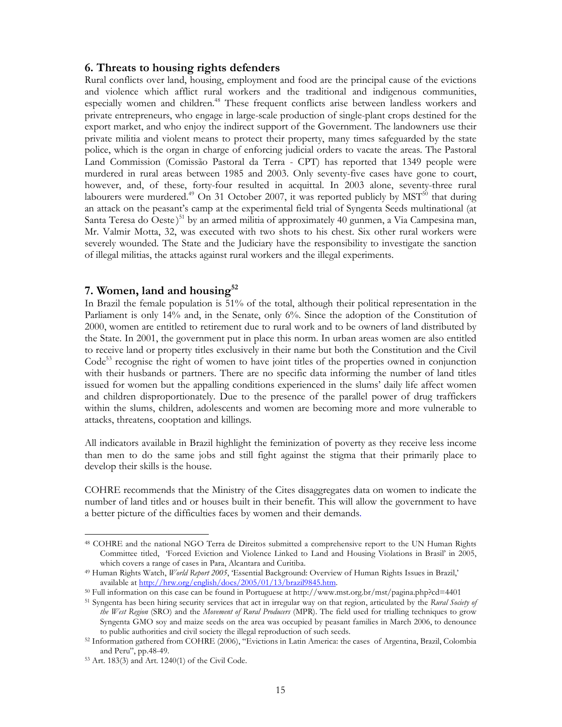#### 6. Threats to housing rights defenders

Rural conflicts over land, housing, employment and food are the principal cause of the evictions and violence which afflict rural workers and the traditional and indigenous communities, especially women and children.<sup>48</sup> These frequent conflicts arise between landless workers and private entrepreneurs, who engage in large-scale production of single-plant crops destined for the export market, and who enjoy the indirect support of the Government. The landowners use their private militia and violent means to protect their property, many times safeguarded by the state police, which is the organ in charge of enforcing judicial orders to vacate the areas. The Pastoral Land Commission (Comissão Pastoral da Terra - CPT) has reported that 1349 people were murdered in rural areas between 1985 and 2003. Only seventy-five cases have gone to court, however, and, of these, forty-four resulted in acquittal. In 2003 alone, seventy-three rural labourers were murdered.<sup>49</sup> On 31 October 2007, it was reported publicly by MST<sup>50</sup> that during an attack on the peasant's camp at the experimental field trial of Syngenta Seeds multinational (at Santa Teresa do Oeste)<sup>51</sup> by an armed militia of approximately 40 gunmen, a Via Campesina man, Mr. Valmir Motta, 32, was executed with two shots to his chest. Six other rural workers were severely wounded. The State and the Judiciary have the responsibility to investigate the sanction of illegal militias, the attacks against rural workers and the illegal experiments.

#### 7. Women, land and housing $52$

In Brazil the female population is 51% of the total, although their political representation in the Parliament is only 14% and, in the Senate, only 6%. Since the adoption of the Constitution of 2000, women are entitled to retirement due to rural work and to be owners of land distributed by the State. In 2001, the government put in place this norm. In urban areas women are also entitled to receive land or property titles exclusively in their name but both the Constitution and the Civil Code<sup>53</sup> recognise the right of women to have joint titles of the properties owned in conjunction with their husbands or partners. There are no specific data informing the number of land titles issued for women but the appalling conditions experienced in the slums' daily life affect women and children disproportionately. Due to the presence of the parallel power of drug traffickers within the slums, children, adolescents and women are becoming more and more vulnerable to attacks, threatens, cooptation and killings.

All indicators available in Brazil highlight the feminization of poverty as they receive less income than men to do the same jobs and still fight against the stigma that their primarily place to develop their skills is the house.

COHRE recommends that the Ministry of the Cites disaggregates data on women to indicate the number of land titles and or houses built in their benefit. This will allow the government to have a better picture of the difficulties faces by women and their demands.

<sup>48</sup> COHRE and the national NGO Terra de Direitos submitted a comprehensive report to the UN Human Rights Committee titled, 'Forced Eviction and Violence Linked to Land and Housing Violations in Brasil' in 2005, which covers a range of cases in Para, Alcantara and Curitiba.

<sup>&</sup>lt;sup>49</sup> Human Rights Watch, World Report 2005, 'Essential Background: Overview of Human Rights Issues in Brazil,' available at http://hrw.org/english/docs/2005/01/13/brazil9845.htm.

<sup>50</sup> Full information on this case can be found in Portuguese at http://www.mst.org.br/mst/pagina.php?cd=4401

<sup>&</sup>lt;sup>51</sup> Syngenta has been hiring security services that act in irregular way on that region, articulated by the Rural Society of the West Region (SRO) and the Movement of Rural Producers (MPR). The field used for trialling techniques to grow Syngenta GMO soy and maize seeds on the area was occupied by peasant families in March 2006, to denounce to public authorities and civil society the illegal reproduction of such seeds.

<sup>52</sup> Information gathered from COHRE (2006), "Evictions in Latin America: the cases of Argentina, Brazil, Colombia and Peru", pp.48-49.

<sup>53</sup> Art. 183(3) and Art. 1240(1) of the Civil Code.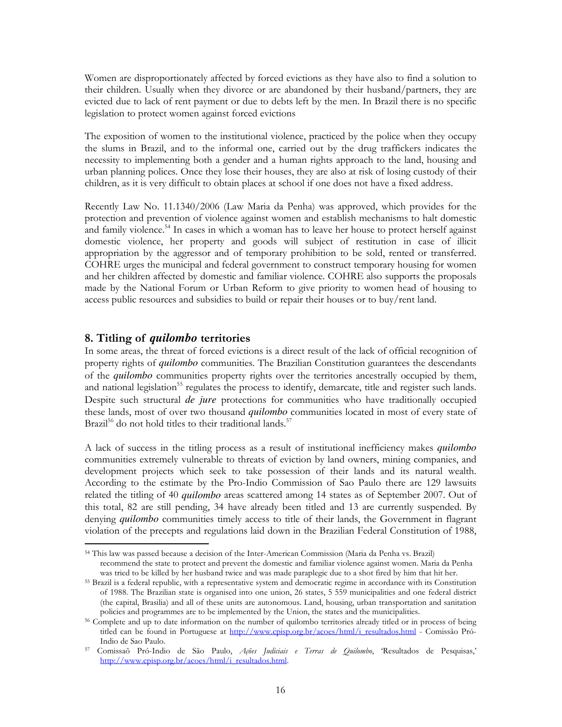Women are disproportionately affected by forced evictions as they have also to find a solution to their children. Usually when they divorce or are abandoned by their husband/partners, they are evicted due to lack of rent payment or due to debts left by the men. In Brazil there is no specific legislation to protect women against forced evictions

The exposition of women to the institutional violence, practiced by the police when they occupy the slums in Brazil, and to the informal one, carried out by the drug traffickers indicates the necessity to implementing both a gender and a human rights approach to the land, housing and urban planning polices. Once they lose their houses, they are also at risk of losing custody of their children, as it is very difficult to obtain places at school if one does not have a fixed address.

Recently Law No. 11.1340/2006 (Law Maria da Penha) was approved, which provides for the protection and prevention of violence against women and establish mechanisms to halt domestic and family violence.<sup>54</sup> In cases in which a woman has to leave her house to protect herself against domestic violence, her property and goods will subject of restitution in case of illicit appropriation by the aggressor and of temporary prohibition to be sold, rented or transferred. COHRE urges the municipal and federal government to construct temporary housing for women and her children affected by domestic and familiar violence. COHRE also supports the proposals made by the National Forum or Urban Reform to give priority to women head of housing to access public resources and subsidies to build or repair their houses or to buy/rent land.

#### 8. Titling of *quilombo* territories

 $\overline{a}$ 

In some areas, the threat of forced evictions is a direct result of the lack of official recognition of property rights of *quilombo* communities. The Brazilian Constitution guarantees the descendants of the *quilombo* communities property rights over the territories ancestrally occupied by them, and national legislation<sup>55</sup> regulates the process to identify, demarcate, title and register such lands. Despite such structural *de jure* protections for communities who have traditionally occupied these lands, most of over two thousand *quilombo* communities located in most of every state of Brazil<sup>56</sup> do not hold titles to their traditional lands.<sup>57</sup>

A lack of success in the titling process as a result of institutional inefficiency makes *quilombo* communities extremely vulnerable to threats of eviction by land owners, mining companies, and development projects which seek to take possession of their lands and its natural wealth. According to the estimate by the Pro-Indio Commission of Sao Paulo there are 129 lawsuits related the titling of 40 *quilombo* areas scattered among 14 states as of September 2007. Out of this total, 82 are still pending, 34 have already been titled and 13 are currently suspended. By denying *quilombo* communities timely access to title of their lands, the Government in flagrant violation of the precepts and regulations laid down in the Brazilian Federal Constitution of 1988,

<sup>54</sup> This law was passed because a decision of the Inter-American Commission (Maria da Penha vs. Brazil) recommend the state to protect and prevent the domestic and familiar violence against women. Maria da Penha was tried to be killed by her husband twice and was made paraplegic due to a shot fired by him that hit her.

<sup>55</sup> Brazil is a federal republic, with a representative system and democratic regime in accordance with its Constitution of 1988. The Brazilian state is organised into one union, 26 states, 5 559 municipalities and one federal district (the capital, Brasilia) and all of these units are autonomous. Land, housing, urban transportation and sanitation policies and programmes are to be implemented by the Union, the states and the municipalities.

<sup>56</sup> Complete and up to date information on the number of quilombo territories already titled or in process of being titled can be found in Portuguese at http://www.cpisp.org.br/acoes/html/i\_resultados.html - Comissão Pró-Indio de Sao Paulo.

<sup>&</sup>lt;sup>57</sup> Comissaõ Pró-Indio de São Paulo, Ações Judiciais e Terras de Quilombo, 'Resultados de Pesquisas,' http://www.cpisp.org.br/acoes/html/i\_resultados.html.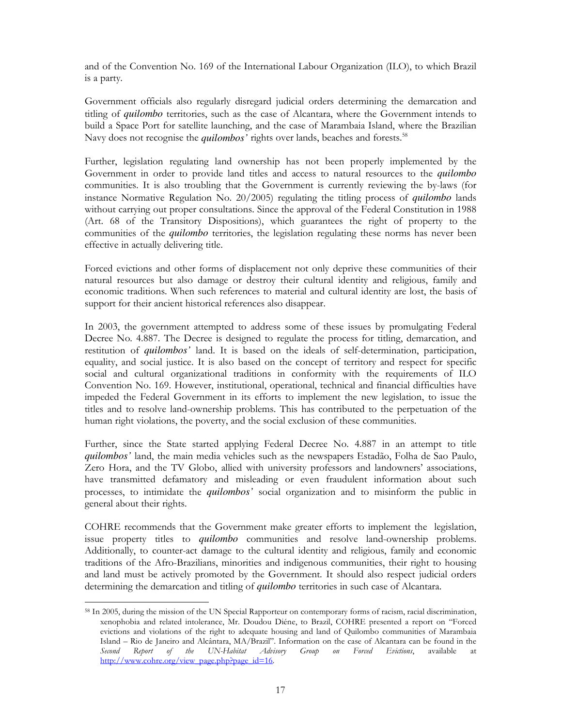and of the Convention No. 169 of the International Labour Organization (ILO), to which Brazil is a party.

Government officials also regularly disregard judicial orders determining the demarcation and titling of *quilombo* territories, such as the case of Alcantara, where the Government intends to build a Space Port for satellite launching, and the case of Marambaia Island, where the Brazilian Navy does not recognise the *quilombos'* rights over lands, beaches and forests.<sup>58</sup>

Further, legislation regulating land ownership has not been properly implemented by the Government in order to provide land titles and access to natural resources to the *quilombo* communities. It is also troubling that the Government is currently reviewing the by-laws (for instance Normative Regulation No. 20/2005) regulating the titling process of *quilombo* lands without carrying out proper consultations. Since the approval of the Federal Constitution in 1988 (Art. 68 of the Transitory Dispositions), which guarantees the right of property to the communities of the *quilombo* territories, the legislation regulating these norms has never been effective in actually delivering title.

Forced evictions and other forms of displacement not only deprive these communities of their natural resources but also damage or destroy their cultural identity and religious, family and economic traditions. When such references to material and cultural identity are lost, the basis of support for their ancient historical references also disappear.

In 2003, the government attempted to address some of these issues by promulgating Federal Decree No. 4.887. The Decree is designed to regulate the process for titling, demarcation, and restitution of *quilombos'* land. It is based on the ideals of self-determination, participation, equality, and social justice. It is also based on the concept of territory and respect for specific social and cultural organizational traditions in conformity with the requirements of ILO Convention No. 169. However, institutional, operational, technical and financial difficulties have impeded the Federal Government in its efforts to implement the new legislation, to issue the titles and to resolve land-ownership problems. This has contributed to the perpetuation of the human right violations, the poverty, and the social exclusion of these communities.

Further, since the State started applying Federal Decree No. 4.887 in an attempt to title *quilombos'* land, the main media vehicles such as the newspapers Estadão, Folha de Sao Paulo, Zero Hora, and the TV Globo, allied with university professors and landowners' associations, have transmitted defamatory and misleading or even fraudulent information about such processes, to intimidate the *quilombos'* social organization and to misinform the public in general about their rights.

COHRE recommends that the Government make greater efforts to implement the legislation, issue property titles to *quilombo* communities and resolve land-ownership problems. Additionally, to counter-act damage to the cultural identity and religious, family and economic traditions of the Afro-Brazilians, minorities and indigenous communities, their right to housing and land must be actively promoted by the Government. It should also respect judicial orders determining the demarcation and titling of *quilombo* territories in such case of Alcantara.

<sup>58</sup> In 2005, during the mission of the UN Special Rapporteur on contemporary forms of racism, racial discrimination, xenophobia and related intolerance, Mr. Doudou Diéne, to Brazil, COHRE presented a report on "Forced evictions and violations of the right to adequate housing and land of Quilombo communities of Marambaia Island – Rio de Janeiro and Alcântara, MA/Brazil". Information on the case of Alcantara can be found in the *Second* Report of the UN-Habitat Advisory Group on Forced Evictions, available at Second Report of the UN-Habitat Advisory Group on Forced Evictions, available at http://www.cohre.org/view\_page.php?page\_id=16.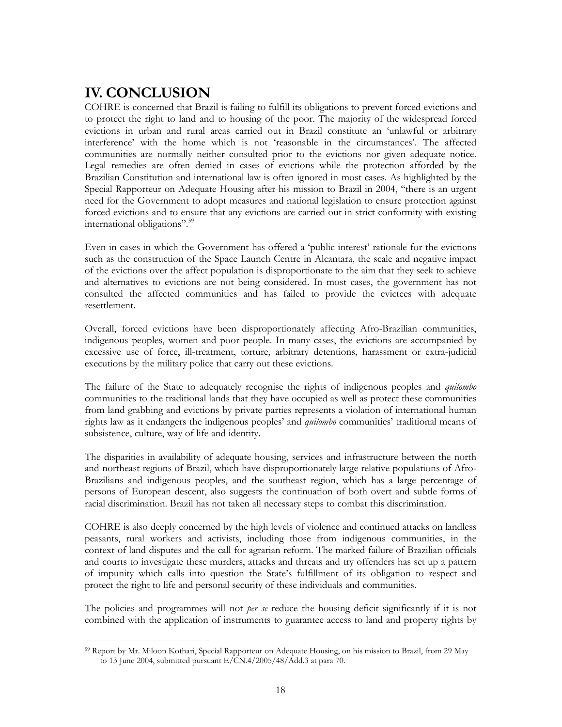## IV. CONCLUSION

COHRE is concerned that Brazil is failing to fulfill its obligations to prevent forced evictions and to protect the right to land and to housing of the poor. The majority of the widespread forced evictions in urban and rural areas carried out in Brazil constitute an 'unlawful or arbitrary interference' with the home which is not 'reasonable in the circumstances'. The affected communities are normally neither consulted prior to the evictions nor given adequate notice. Legal remedies are often denied in cases of evictions while the protection afforded by the Brazilian Constitution and international law is often ignored in most cases. As highlighted by the Special Rapporteur on Adequate Housing after his mission to Brazil in 2004, "there is an urgent need for the Government to adopt measures and national legislation to ensure protection against forced evictions and to ensure that any evictions are carried out in strict conformity with existing international obligations".<sup>59</sup>

Even in cases in which the Government has offered a 'public interest' rationale for the evictions such as the construction of the Space Launch Centre in Alcantara, the scale and negative impact of the evictions over the affect population is disproportionate to the aim that they seek to achieve and alternatives to evictions are not being considered. In most cases, the government has not consulted the affected communities and has failed to provide the evictees with adequate resettlement.

Overall, forced evictions have been disproportionately affecting Afro-Brazilian communities, indigenous peoples, women and poor people. In many cases, the evictions are accompanied by excessive use of force, ill-treatment, torture, arbitrary detentions, harassment or extra-judicial executions by the military police that carry out these evictions.

The failure of the State to adequately recognise the rights of indigenous peoples and *quilombo* communities to the traditional lands that they have occupied as well as protect these communities from land grabbing and evictions by private parties represents a violation of international human rights law as it endangers the indigenous peoples' and quilombo communities' traditional means of subsistence, culture, way of life and identity.

The disparities in availability of adequate housing, services and infrastructure between the north and northeast regions of Brazil, which have disproportionately large relative populations of Afro-Brazilians and indigenous peoples, and the southeast region, which has a large percentage of persons of European descent, also suggests the continuation of both overt and subtle forms of racial discrimination. Brazil has not taken all necessary steps to combat this discrimination.

COHRE is also deeply concerned by the high levels of violence and continued attacks on landless peasants, rural workers and activists, including those from indigenous communities, in the context of land disputes and the call for agrarian reform. The marked failure of Brazilian officials and courts to investigate these murders, attacks and threats and try offenders has set up a pattern of impunity which calls into question the State's fulfillment of its obligation to respect and protect the right to life and personal security of these individuals and communities.

The policies and programmes will not *per se* reduce the housing deficit significantly if it is not combined with the application of instruments to guarantee access to land and property rights by

 $\overline{a}$ <sup>59</sup> Report by Mr. Miloon Kothari, Special Rapporteur on Adequate Housing, on his mission to Brazil, from 29 May to 13 June 2004, submitted pursuant E/CN.4/2005/48/Add.3 at para 70.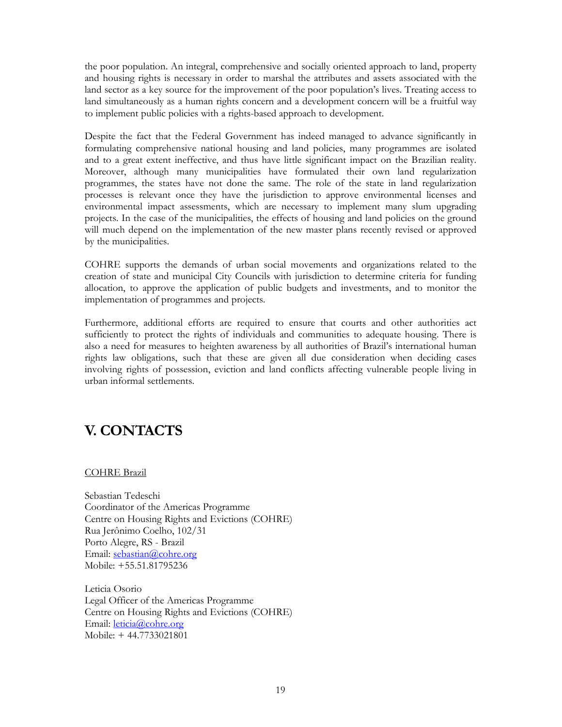the poor population. An integral, comprehensive and socially oriented approach to land, property and housing rights is necessary in order to marshal the attributes and assets associated with the land sector as a key source for the improvement of the poor population's lives. Treating access to land simultaneously as a human rights concern and a development concern will be a fruitful way to implement public policies with a rights-based approach to development.

Despite the fact that the Federal Government has indeed managed to advance significantly in formulating comprehensive national housing and land policies, many programmes are isolated and to a great extent ineffective, and thus have little significant impact on the Brazilian reality. Moreover, although many municipalities have formulated their own land regularization programmes, the states have not done the same. The role of the state in land regularization processes is relevant once they have the jurisdiction to approve environmental licenses and environmental impact assessments, which are necessary to implement many slum upgrading projects. In the case of the municipalities, the effects of housing and land policies on the ground will much depend on the implementation of the new master plans recently revised or approved by the municipalities.

COHRE supports the demands of urban social movements and organizations related to the creation of state and municipal City Councils with jurisdiction to determine criteria for funding allocation, to approve the application of public budgets and investments, and to monitor the implementation of programmes and projects.

Furthermore, additional efforts are required to ensure that courts and other authorities act sufficiently to protect the rights of individuals and communities to adequate housing. There is also a need for measures to heighten awareness by all authorities of Brazil's international human rights law obligations, such that these are given all due consideration when deciding cases involving rights of possession, eviction and land conflicts affecting vulnerable people living in urban informal settlements.

## V. CONTACTS

COHRE Brazil

Sebastian Tedeschi Coordinator of the Americas Programme Centre on Housing Rights and Evictions (COHRE) Rua Jerônimo Coelho, 102/31 Porto Alegre, RS - Brazil Email: sebastian@cohre.org Mobile: +55.51.81795236

Leticia Osorio Legal Officer of the Americas Programme Centre on Housing Rights and Evictions (COHRE) Email: leticia@cohre.org Mobile: + 44.7733021801